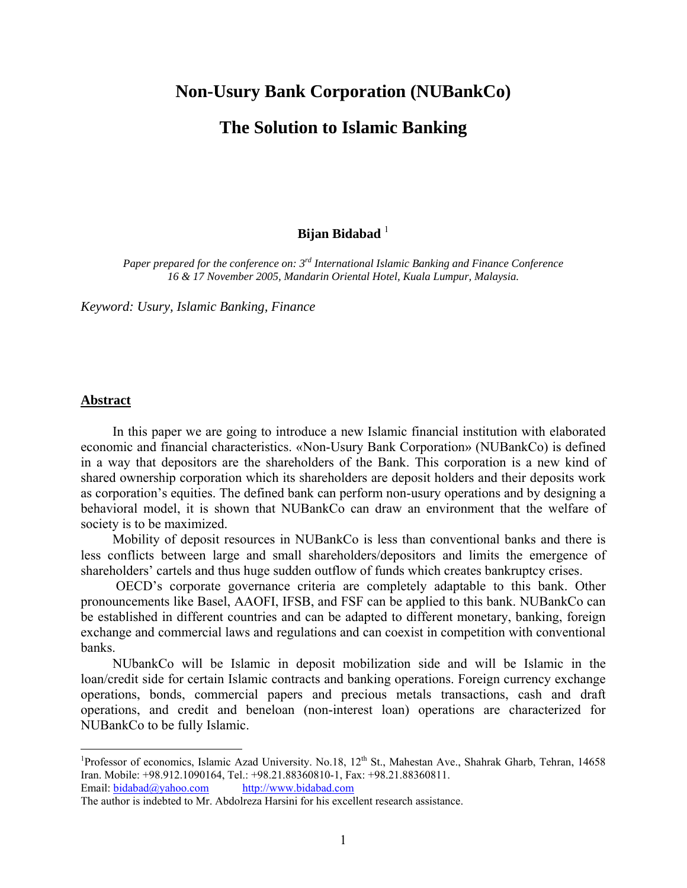# **Non-Usury Bank Corporation (NUBankCo)**

## **The Solution to Islamic Banking**

## **Bijan Bidabad** <sup>1</sup>

*Paper prepared for the conference on: 3rd International Islamic Banking and Finance Conference 16 & 17 November 2005, Mandarin Oriental Hotel, Kuala Lumpur, Malaysia.* 

*Keyword: Usury, Islamic Banking, Finance* 

## **Abstract**

<u>.</u>

In this paper we are going to introduce a new Islamic financial institution with elaborated economic and financial characteristics. «Non-Usury Bank Corporation» (NUBankCo) is defined in a way that depositors are the shareholders of the Bank. This corporation is a new kind of shared ownership corporation which its shareholders are deposit holders and their deposits work as corporation's equities. The defined bank can perform non-usury operations and by designing a behavioral model, it is shown that NUBankCo can draw an environment that the welfare of society is to be maximized.

Mobility of deposit resources in NUBankCo is less than conventional banks and there is less conflicts between large and small shareholders/depositors and limits the emergence of shareholders' cartels and thus huge sudden outflow of funds which creates bankruptcy crises.

 OECD's corporate governance criteria are completely adaptable to this bank. Other pronouncements like Basel, AAOFI, IFSB, and FSF can be applied to this bank. NUBankCo can be established in different countries and can be adapted to different monetary, banking, foreign exchange and commercial laws and regulations and can coexist in competition with conventional banks.

NUbankCo will be Islamic in deposit mobilization side and will be Islamic in the loan/credit side for certain Islamic contracts and banking operations. Foreign currency exchange operations, bonds, commercial papers and precious metals transactions, cash and draft operations, and credit and beneloan (non-interest loan) operations are characterized for NUBankCo to be fully Islamic.

<sup>&</sup>lt;sup>1</sup>Professor of economics, Islamic Azad University. No.18, 12<sup>th</sup> St., Mahestan Ave., Shahrak Gharb, Tehran, 14658 Iran. Mobile: +98.912.1090164, Tel.: +98.21.88360810-1, Fax: +98.21.88360811. Email: bidabad@yahoo.com http://www.bidabad.com

The author is indebted to Mr. Abdolreza Harsini for his excellent research assistance.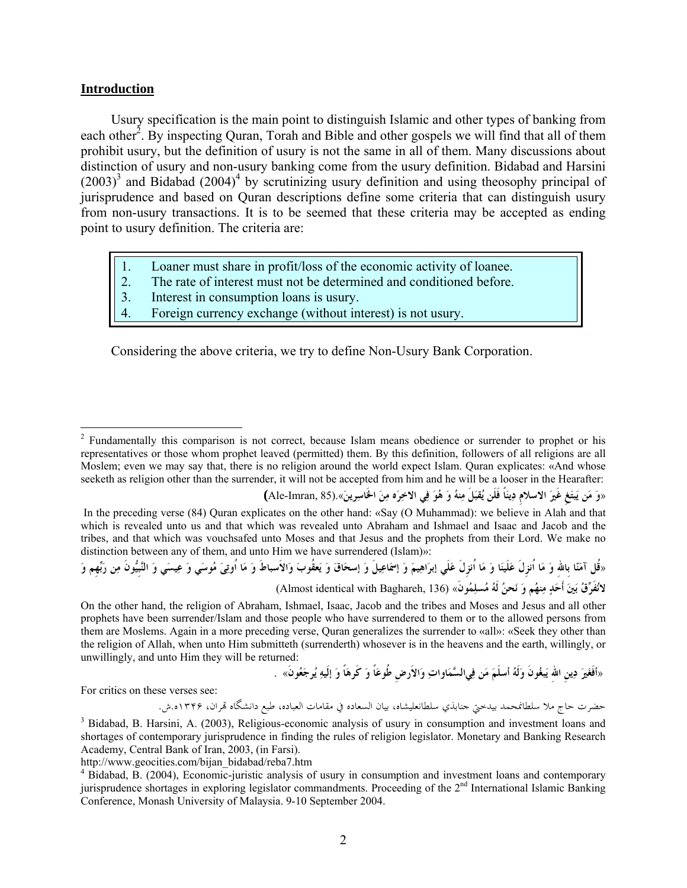#### **Introduction**

 $\overline{a}$ 

Usury specification is the main point to distinguish Islamic and other types of banking from each other<sup>2</sup>. By inspecting Quran, Torah and Bible and other gospels we will find that all of them prohibit usury, but the definition of usury is not the same in all of them. Many discussions about distinction of usury and non-usury banking come from the usury definition. Bidabad and Harsini  $(2003)^3$  and Bidabad  $(2004)^4$  by scrutinizing usury definition and using theosophy principal of jurisprudence and based on Quran descriptions define some criteria that can distinguish usury from non-usury transactions. It is to be seemed that these criteria may be accepted as ending point to usury definition. The criteria are:

- 
- 1. Loaner must share in profit/loss of the economic activity of loanee.<br>2. The rate of interest must not be determined and conditioned before. 2. The rate of interest must not be determined and conditioned before.<br>3. Interest in consumption loans is usury.
- Interest in consumption loans is usury.
- Foreign currency exchange (without interest) is not usury.

Considering the above criteria, we try to define Non-Usury Bank Corporation.

«وَ مَن يَبتَغِ غَيرَ الاسلامِ دِينَاً فَلَن يُقبَلَ مِنهُ وَ هُوَ فِي الاخِرَه مِنَ الخَاسِرينَ».(Ale-Imran, 85) In the preceding verse (84) Quran explicates on the other hand: «Say (O Muhammad): we believe in Alah and that which is revealed unto us and that which was revealed unto Abraham and Ishmael and Isaac and Jacob and the tribes, and that which was vouchsafed unto Moses and that Jesus and the prophets from their Lord. We make no distinction between any of them, and unto Him we have surrendered (Islam)»:

«قُل آمَنّا بِاللهِ وَ مَا اُنزِلَ عَلَينَا وَ مَا اُنزِلَ عَلَي إبرَاهِيمَ وَ إسْمَاعِيلَ وَ إسحَاقَ وَ يَعقُوبَ وَالأسباطَ وَ مَا اُوتِىَ مُوسَى وَ عِيسَى وَ النَّبِيُّونَ مِن رَبِّهِم وَ **لانُفَرِّقُ بَينَ أَحَدٍ مِنهُم وَ نَحنُ لَهُ مُسلِمُونَ»** (136 ,Baghareh with identical Almost (

On the other hand, the religion of Abraham, Ishmael, Isaac, Jacob and the tribes and Moses and Jesus and all other prophets have been surrender/Islam and those people who have surrendered to them or to the allowed persons from them are Moslems. Again in a more preceding verse, Quran generalizes the surrender to «all»: «Seek they other than the religion of Allah, when unto Him submitteth (surrenderth) whosever is in the heavens and the earth, willingly, or unwillingly, and unto Him they will be returned:

«أَفَغَيرَ دِينِ اللهُ يَبغُونَ وَلَهُ أسلَمَ مَن فِيالسَّمَاواتِ وَالأرضِ طُوعَاً وَ كَرهَاً وَ إلَيهِ يُرجَعُونَ» . ۛ

For critics on these verses see:

3 حضرت حاج ملا سلطانمحمد بيدختي جنابذي سلطانعليشاه، بيان السعاده في مقامات العباده، طبع دانشگاه هتران، ۱۳۴۶ه.ش.

<sup>&</sup>lt;sup>2</sup> Fundamentally this comparison is not correct, because Islam means obedience or surrender to prophet or his representatives or those whom prophet leaved (permitted) them. By this definition, followers of all religions are all Moslem; even we may say that, there is no religion around the world expect Islam. Quran explicates: «And whose seeketh as religion other than the surrender, it will not be accepted from him and he will be a looser in the Hearafter:

<sup>&</sup>lt;sup>3</sup> Bidabad, B. Harsini, A. (2003), Religious-economic analysis of usury in consumption and investment loans and shortages of contemporary jurisprudence in finding the rules of religion legislator. Monetary and Banking Research Academy, Central Bank of Iran, 2003, (in Farsi).

http://www.geocities.com/bijan\_bidabad/reba7.htm 4

Bidabad, B. (2004), Economic-juristic analysis of usury in consumption and investment loans and contemporary jurisprudence shortages in exploring legislator commandments. Proceeding of the 2<sup>nd</sup> International Islamic Banking Conference, Monash University of Malaysia. 9-10 September 2004.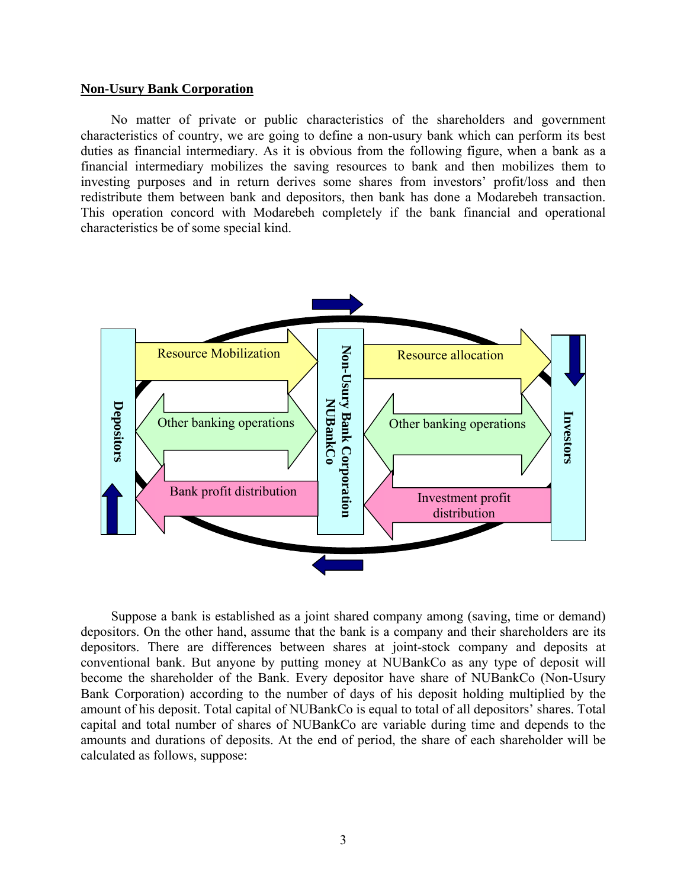#### **Non-Usury Bank Corporation**

No matter of private or public characteristics of the shareholders and government characteristics of country, we are going to define a non-usury bank which can perform its best duties as financial intermediary. As it is obvious from the following figure, when a bank as a financial intermediary mobilizes the saving resources to bank and then mobilizes them to investing purposes and in return derives some shares from investors' profit/loss and then redistribute them between bank and depositors, then bank has done a Modarebeh transaction. This operation concord with Modarebeh completely if the bank financial and operational characteristics be of some special kind.



Suppose a bank is established as a joint shared company among (saving, time or demand) depositors. On the other hand, assume that the bank is a company and their shareholders are its depositors. There are differences between shares at joint-stock company and deposits at conventional bank. But anyone by putting money at NUBankCo as any type of deposit will become the shareholder of the Bank. Every depositor have share of NUBankCo (Non-Usury Bank Corporation) according to the number of days of his deposit holding multiplied by the amount of his deposit. Total capital of NUBankCo is equal to total of all depositors' shares. Total capital and total number of shares of NUBankCo are variable during time and depends to the amounts and durations of deposits. At the end of period, the share of each shareholder will be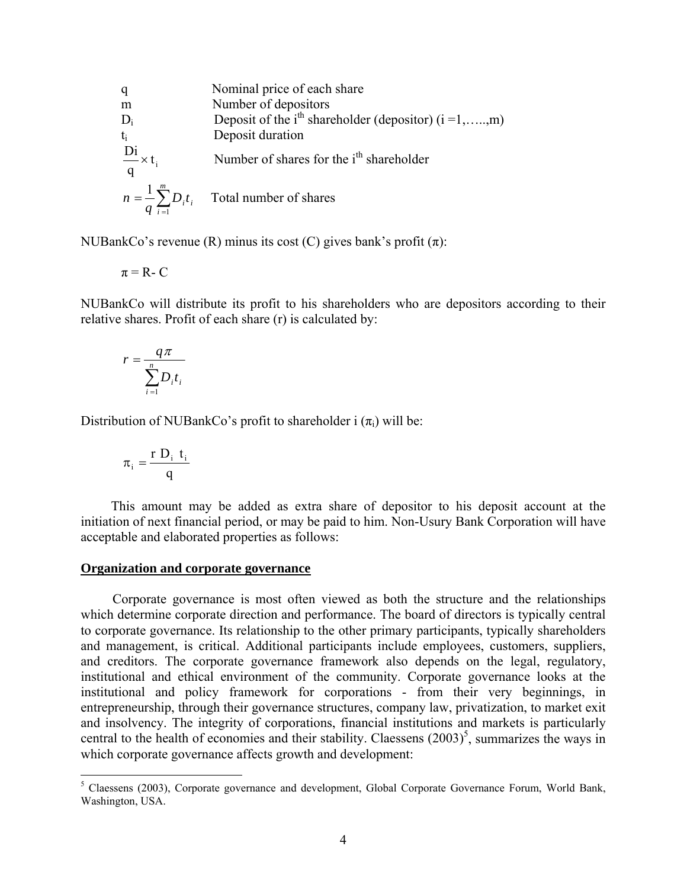q  
\n
$$
\begin{array}{ll}\n\text{q} & \text{Nominal price of each share} \\
\text{m} & \text{Number of deposits} \\
\text{D}_i & \text{Deposit of the i}^{\text{th}} \text{shareholder (depositor)} (i = 1, \dots, m) \\
\text{t}_i & \text{Deposit duration} \\
\frac{\text{Di}}{\text{q}} \times t_i & \text{Number of shares for the i}^{\text{th}} \text{shareholder} \\
n = \frac{1}{q} \sum_{i=1}^{m} D_i t_i & \text{Total number of shares}\n\end{array}
$$

NUBankCo's revenue (R) minus its cost (C) gives bank's profit  $(\pi)$ :

$$
\pi = R - C
$$

NUBankCo will distribute its profit to his shareholders who are depositors according to their relative shares. Profit of each share (r) is calculated by:

$$
r = \frac{q\pi}{\sum_{i=1}^{n} D_i t_i}
$$

Distribution of NUBankCo's profit to shareholder i  $(\pi_i)$  will be:

$$
\pi_i = \frac{r D_i t_i}{q}
$$

This amount may be added as extra share of depositor to his deposit account at the initiation of next financial period, or may be paid to him. Non-Usury Bank Corporation will have acceptable and elaborated properties as follows:

#### **Organization and corporate governance**

Corporate governance is most often viewed as both the structure and the relationships which determine corporate direction and performance. The board of directors is typically central to corporate governance. Its relationship to the other primary participants, typically shareholders and management, is critical. Additional participants include employees, customers, suppliers, and creditors. The corporate governance framework also depends on the legal, regulatory, institutional and ethical environment of the community. Corporate governance looks at the institutional and policy framework for corporations - from their very beginnings, in entrepreneurship, through their governance structures, company law, privatization, to market exit and insolvency. The integrity of corporations, financial institutions and markets is particularly central to the health of economies and their stability. Claessens  $(2003)^5$ , summarizes the ways in which corporate governance affects growth and development:

 5 Claessens (2003), Corporate governance and development, Global Corporate Governance Forum, World Bank, Washington, USA.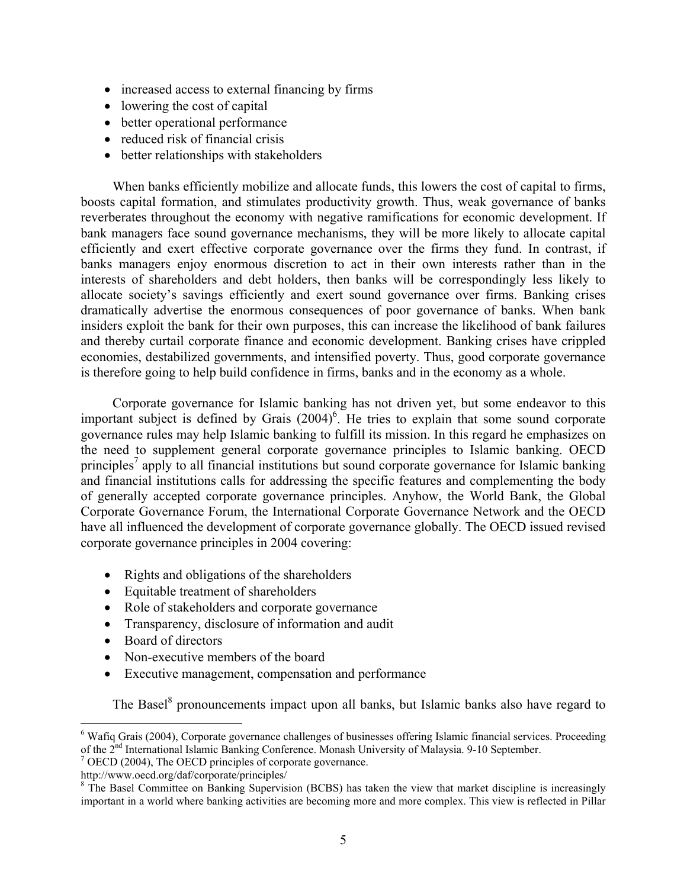- increased access to external financing by firms
- lowering the cost of capital
- better operational performance
- reduced risk of financial crisis
- better relationships with stakeholders

When banks efficiently mobilize and allocate funds, this lowers the cost of capital to firms, boosts capital formation, and stimulates productivity growth. Thus, weak governance of banks reverberates throughout the economy with negative ramifications for economic development. If bank managers face sound governance mechanisms, they will be more likely to allocate capital efficiently and exert effective corporate governance over the firms they fund. In contrast, if banks managers enjoy enormous discretion to act in their own interests rather than in the interests of shareholders and debt holders, then banks will be correspondingly less likely to allocate society's savings efficiently and exert sound governance over firms. Banking crises dramatically advertise the enormous consequences of poor governance of banks. When bank insiders exploit the bank for their own purposes, this can increase the likelihood of bank failures and thereby curtail corporate finance and economic development. Banking crises have crippled economies, destabilized governments, and intensified poverty. Thus, good corporate governance is therefore going to help build confidence in firms, banks and in the economy as a whole.

Corporate governance for Islamic banking has not driven yet, but some endeavor to this important subject is defined by Grais  $(2004)^6$ . He tries to explain that some sound corporate governance rules may help Islamic banking to fulfill its mission. In this regard he emphasizes on the need to supplement general corporate governance principles to Islamic banking. OECD principles<sup>7</sup> apply to all financial institutions but sound corporate governance for Islamic banking and financial institutions calls for addressing the specific features and complementing the body of generally accepted corporate governance principles. Anyhow, the World Bank, the Global Corporate Governance Forum, the International Corporate Governance Network and the OECD have all influenced the development of corporate governance globally. The OECD issued revised corporate governance principles in 2004 covering:

- Rights and obligations of the shareholders
- Equitable treatment of shareholders
- Role of stakeholders and corporate governance
- Transparency, disclosure of information and audit
- Board of directors
- Non-executive members of the board
- Executive management, compensation and performance

The Basel<sup>8</sup> pronouncements impact upon all banks, but Islamic banks also have regard to

 6 Wafiq Grais (2004), Corporate governance challenges of businesses offering Islamic financial services. Proceeding of the 2<sup>nd</sup> International Islamic Banking Conference. Monash University of Malaysia. 9-10 September.

 $\frac{7}{1}$  OECD (2004), The OECD principles of corporate governance.

http://www.oecd.org/daf/corporate/principles/

<sup>&</sup>lt;sup>8</sup> The Basel Committee on Banking Supervision (BCBS) has taken the view that market discipline is increasingly important in a world where banking activities are becoming more and more complex. This view is reflected in Pillar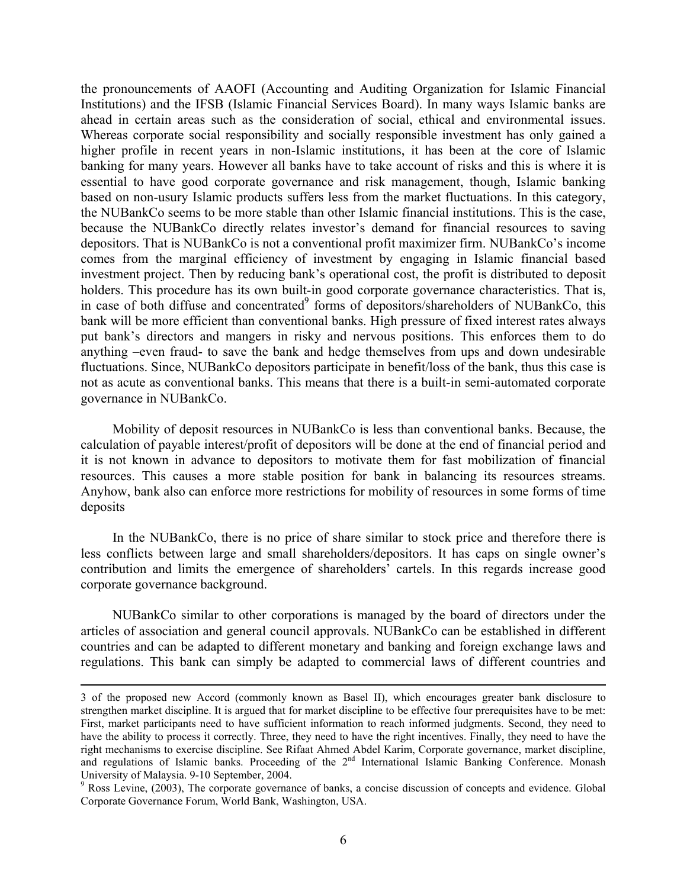the pronouncements of AAOFI (Accounting and Auditing Organization for Islamic Financial Institutions) and the IFSB (Islamic Financial Services Board). In many ways Islamic banks are ahead in certain areas such as the consideration of social, ethical and environmental issues. Whereas corporate social responsibility and socially responsible investment has only gained a higher profile in recent years in non-Islamic institutions, it has been at the core of Islamic banking for many years. However all banks have to take account of risks and this is where it is essential to have good corporate governance and risk management, though, Islamic banking based on non-usury Islamic products suffers less from the market fluctuations. In this category, the NUBankCo seems to be more stable than other Islamic financial institutions. This is the case, because the NUBankCo directly relates investor's demand for financial resources to saving depositors. That is NUBankCo is not a conventional profit maximizer firm. NUBankCo's income comes from the marginal efficiency of investment by engaging in Islamic financial based investment project. Then by reducing bank's operational cost, the profit is distributed to deposit holders. This procedure has its own built-in good corporate governance characteristics. That is, in case of both diffuse and concentrated<sup>9</sup> forms of depositors/shareholders of NUBankCo, this bank will be more efficient than conventional banks. High pressure of fixed interest rates always put bank's directors and mangers in risky and nervous positions. This enforces them to do anything –even fraud- to save the bank and hedge themselves from ups and down undesirable fluctuations. Since, NUBankCo depositors participate in benefit/loss of the bank, thus this case is not as acute as conventional banks. This means that there is a built-in semi-automated corporate governance in NUBankCo.

Mobility of deposit resources in NUBankCo is less than conventional banks. Because, the calculation of payable interest/profit of depositors will be done at the end of financial period and it is not known in advance to depositors to motivate them for fast mobilization of financial resources. This causes a more stable position for bank in balancing its resources streams. Anyhow, bank also can enforce more restrictions for mobility of resources in some forms of time deposits

In the NUBankCo, there is no price of share similar to stock price and therefore there is less conflicts between large and small shareholders/depositors. It has caps on single owner's contribution and limits the emergence of shareholders' cartels. In this regards increase good corporate governance background.

NUBankCo similar to other corporations is managed by the board of directors under the articles of association and general council approvals. NUBankCo can be established in different countries and can be adapted to different monetary and banking and foreign exchange laws and regulations. This bank can simply be adapted to commercial laws of different countries and

 <sup>3</sup> of the proposed new Accord (commonly known as Basel II), which encourages greater bank disclosure to strengthen market discipline. It is argued that for market discipline to be effective four prerequisites have to be met: First, market participants need to have sufficient information to reach informed judgments. Second, they need to have the ability to process it correctly. Three, they need to have the right incentives. Finally, they need to have the right mechanisms to exercise discipline. See Rifaat Ahmed Abdel Karim, Corporate governance, market discipline, and regulations of Islamic banks. Proceeding of the 2<sup>nd</sup> International Islamic Banking Conference. Monash University of Malaysia. 9-10 September, 2004.

<sup>&</sup>lt;sup>9</sup> Ross Levine, (2003), The corporate governance of banks, a concise discussion of concepts and evidence. Global Corporate Governance Forum, World Bank, Washington, USA.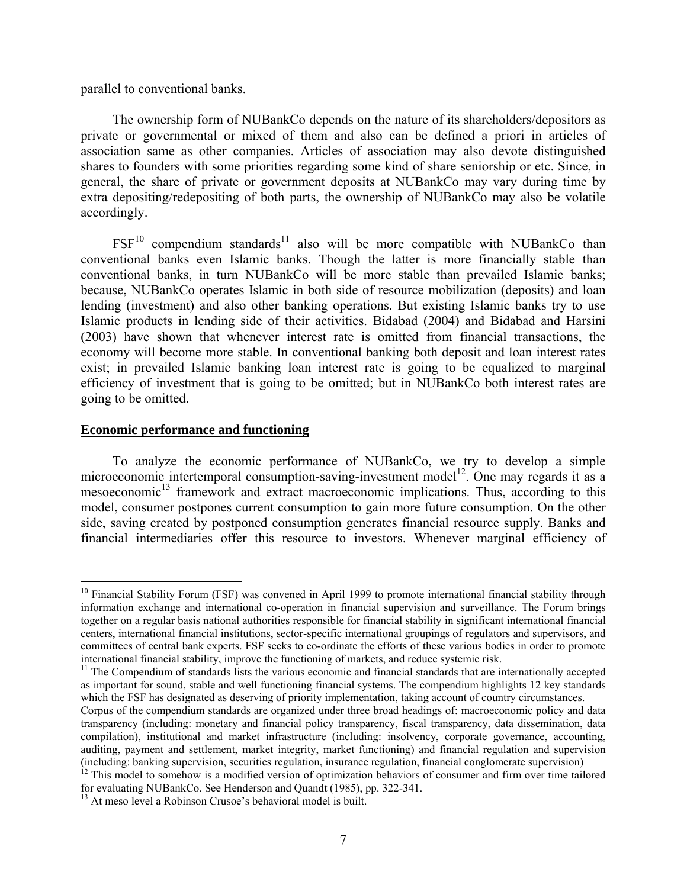parallel to conventional banks.

The ownership form of NUBankCo depends on the nature of its shareholders/depositors as private or governmental or mixed of them and also can be defined a priori in articles of association same as other companies. Articles of association may also devote distinguished shares to founders with some priorities regarding some kind of share seniorship or etc. Since, in general, the share of private or government deposits at NUBankCo may vary during time by extra depositing/redepositing of both parts, the ownership of NUBankCo may also be volatile accordingly.

 $FSF<sup>10</sup>$  compendium standards<sup>11</sup> also will be more compatible with NUBankCo than conventional banks even Islamic banks. Though the latter is more financially stable than conventional banks, in turn NUBankCo will be more stable than prevailed Islamic banks; because, NUBankCo operates Islamic in both side of resource mobilization (deposits) and loan lending (investment) and also other banking operations. But existing Islamic banks try to use Islamic products in lending side of their activities. Bidabad (2004) and Bidabad and Harsini (2003) have shown that whenever interest rate is omitted from financial transactions, the economy will become more stable. In conventional banking both deposit and loan interest rates exist; in prevailed Islamic banking loan interest rate is going to be equalized to marginal efficiency of investment that is going to be omitted; but in NUBankCo both interest rates are going to be omitted.

#### **Economic performance and functioning**

To analyze the economic performance of NUBankCo, we try to develop a simple microeconomic intertemporal consumption-saving-investment model<sup>12</sup>. One may regards it as a mesoeconomic<sup>13</sup> framework and extract macroeconomic implications. Thus, according to this model, consumer postpones current consumption to gain more future consumption. On the other side, saving created by postponed consumption generates financial resource supply. Banks and financial intermediaries offer this resource to investors. Whenever marginal efficiency of

 $\overline{a}$  $10$  Financial Stability Forum (FSF) was convened in April 1999 to promote international financial stability through information exchange and international co-operation in financial supervision and surveillance. The Forum brings together on a regular basis national authorities responsible for financial stability in significant international financial centers, international financial institutions, sector-specific international groupings of regulators and supervisors, and committees of central bank experts. FSF seeks to co-ordinate the efforts of these various bodies in order to promote international financial stability, improve the functioning of markets, and reduce systemic risk.

<sup>&</sup>lt;sup>11</sup> The Compendium of standards lists the various economic and financial standards that are internationally accepted as important for sound, stable and well functioning financial systems. The compendium highlights 12 key standards which the FSF has designated as deserving of priority implementation, taking account of country circumstances.

Corpus of the compendium standards are organized under three broad headings of: macroeconomic policy and data transparency (including: monetary and financial policy transparency, fiscal transparency, data dissemination, data compilation), institutional and market infrastructure (including: insolvency, corporate governance, accounting, auditing, payment and settlement, market integrity, market functioning) and financial regulation and supervision (including: banking supervision, securities regulation, insurance regulation, financial conglomerate supervision)<br><sup>12</sup> This model to somehow is a modified version of optimization behaviors of consumer and firm over time ta

for evaluating NUBankCo. See Henderson and Quandt (1985), pp. 322-341.

<sup>&</sup>lt;sup>13</sup> At meso level a Robinson Crusoe's behavioral model is built.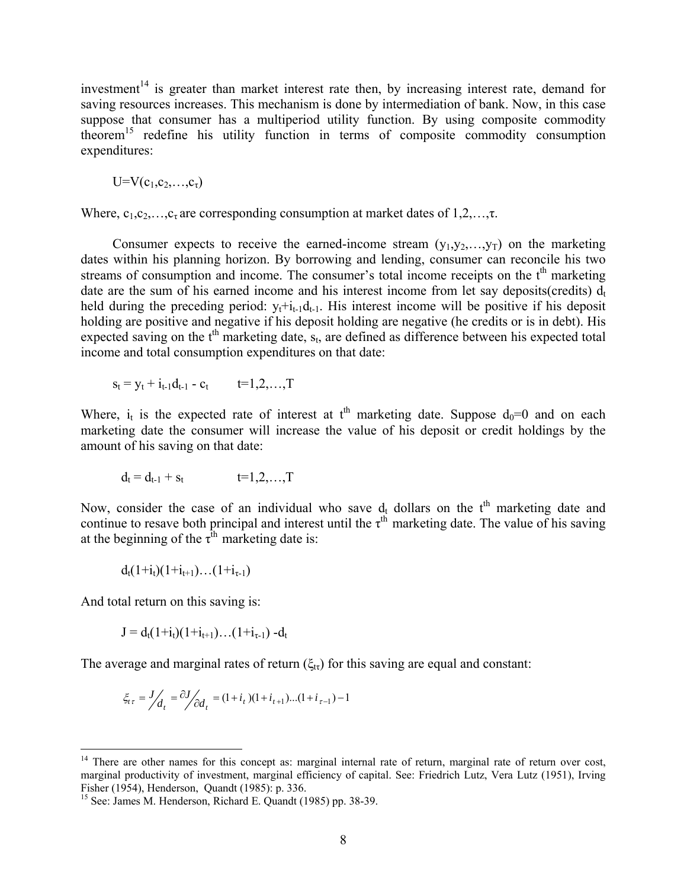investment<sup>14</sup> is greater than market interest rate then, by increasing interest rate, demand for saving resources increases. This mechanism is done by intermediation of bank. Now, in this case suppose that consumer has a multiperiod utility function. By using composite commodity theorem<sup>15</sup> redefine his utility function in terms of composite commodity consumption expenditures:

 $U=V(c_1,c_2,...,c_{\tau})$ 

Where,  $c_1, c_2, \ldots, c_{\tau}$  are corresponding consumption at market dates of  $1, 2, \ldots, \tau$ .

Consumer expects to receive the earned-income stream  $(y_1, y_2, \ldots, y_T)$  on the marketing dates within his planning horizon. By borrowing and lending, consumer can reconcile his two streams of consumption and income. The consumer's total income receipts on the  $t<sup>th</sup>$  marketing date are the sum of his earned income and his interest income from let say deposits(credits)  $d_t$ held during the preceding period:  $y_t + i_{t-1}d_{t-1}$ . His interest income will be positive if his deposit holding are positive and negative if his deposit holding are negative (he credits or is in debt). His expected saving on the  $t<sup>th</sup>$  marketing date,  $s<sub>t</sub>$ , are defined as difference between his expected total income and total consumption expenditures on that date:

$$
s_t = y_t + i_{t-1}d_{t-1} - c_t \qquad t = 1, 2, \ldots, T
$$

Where,  $i_t$  is the expected rate of interest at  $t<sup>th</sup>$  marketing date. Suppose  $d_0=0$  and on each marketing date the consumer will increase the value of his deposit or credit holdings by the amount of his saving on that date:

$$
d_t = d_{t-1} + s_t \qquad \qquad t = 1, 2, \ldots, T
$$

Now, consider the case of an individual who save  $d_t$  dollars on the  $t<sup>th</sup>$  marketing date and continue to resave both principal and interest until the  $\tau^{th}$  marketing date. The value of his saving at the beginning of the  $\tau^{\text{th}}$  marketing date is:

$$
d_t(1{+}i_t)(1{+}i_{t{+}1}){\ldots}(1{+}i_{\tau\text{-}1})
$$

And total return on this saving is:

 $\overline{a}$ 

$$
J = d_t(1+i_t)(1+i_{t+1})\dots(1+i_{\tau-1}) - d_t
$$

The average and marginal rates of return  $(\xi_{\text{tr}})$  for this saving are equal and constant:

$$
\xi_{t\tau} = J /_{d_t} = \frac{\partial J}{\partial d_t} = (1 + i_t)(1 + i_{t+1})...(1 + i_{\tau-1}) - 1
$$

 $14$  There are other names for this concept as: marginal internal rate of return, marginal rate of return over cost, marginal productivity of investment, marginal efficiency of capital. See: Friedrich Lutz, Vera Lutz (1951), Irving Fisher (1954), Henderson, Quandt (1985): p. 336.

<sup>15</sup> See: James M. Henderson, Richard E. Quandt (1985) pp. 38-39.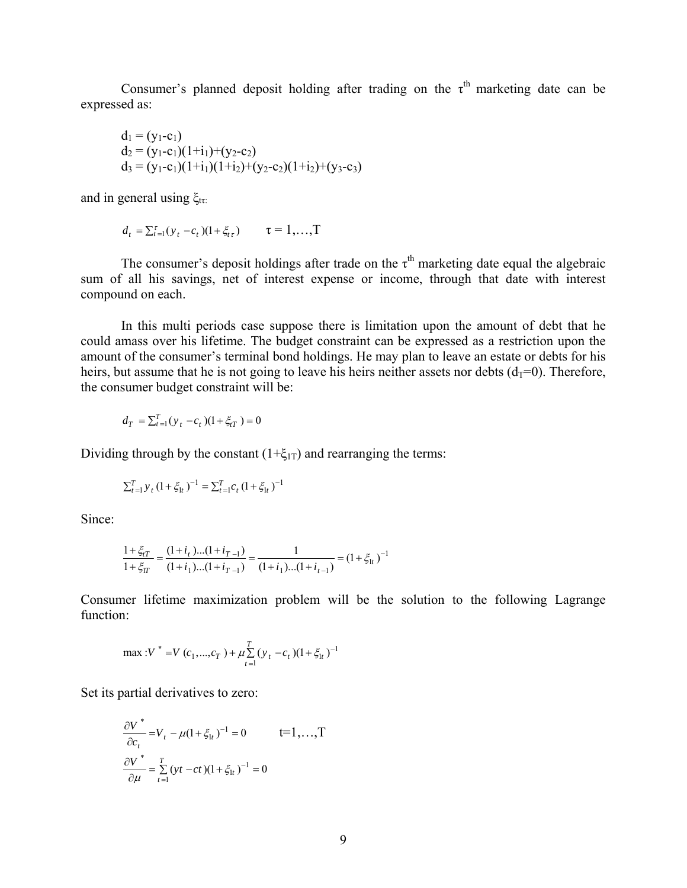Consumer's planned deposit holding after trading on the  $\tau^{th}$  marketing date can be expressed as:

$$
d_1 = (y_1-c_1)
$$
  
\n
$$
d_2 = (y_1-c_1)(1+i_1)+(y_2-c_2)
$$
  
\n
$$
d_3 = (y_1-c_1)(1+i_1)(1+i_2)+(y_2-c_2)(1+i_2)+(y_3-c_3)
$$

and in general using  $\xi_{\text{tr}}$ :

$$
d_t = \sum_{t=1}^{\tau} (y_t - c_t)(1 + \xi_{t\tau}) \qquad \tau = 1, ..., T
$$

The consumer's deposit holdings after trade on the  $\tau^{th}$  marketing date equal the algebraic sum of all his savings, net of interest expense or income, through that date with interest compound on each.

 In this multi periods case suppose there is limitation upon the amount of debt that he could amass over his lifetime. The budget constraint can be expressed as a restriction upon the amount of the consumer's terminal bond holdings. He may plan to leave an estate or debts for his heirs, but assume that he is not going to leave his heirs neither assets nor debts  $(d_T=0)$ . Therefore, the consumer budget constraint will be:

$$
d_T = \sum_{t=1}^T (y_t - c_t)(1 + \xi_{tT}) = 0
$$

Dividing through by the constant  $(1+\xi_{1T})$  and rearranging the terms:

$$
\sum_{t=1}^{T} y_{t} (1 + \xi_{1t})^{-1} = \sum_{t=1}^{T} c_{t} (1 + \xi_{1t})^{-1}
$$

Since:

$$
\frac{1 + \xi_{tT}}{1 + \xi_{tT}} = \frac{(1 + i_t) \dots (1 + i_{T-1})}{(1 + i_1) \dots (1 + i_{T-1})} = \frac{1}{(1 + i_1) \dots (1 + i_{t-1})} = (1 + \xi_{1t})^{-1}
$$

Consumer lifetime maximization problem will be the solution to the following Lagrange function:

$$
\max: V^* = V(c_1, ..., c_T) + \mu \sum_{t=1}^{T} (y_t - c_t)(1 + \xi_{1t})^{-1}
$$

Set its partial derivatives to zero:

$$
\frac{\partial V^*}{\partial c_t} = V_t - \mu (1 + \xi_{1t})^{-1} = 0 \qquad t = 1, ..., T
$$
  

$$
\frac{\partial V^*}{\partial \mu} = \sum_{t=1}^T (yt - ct) (1 + \xi_{1t})^{-1} = 0
$$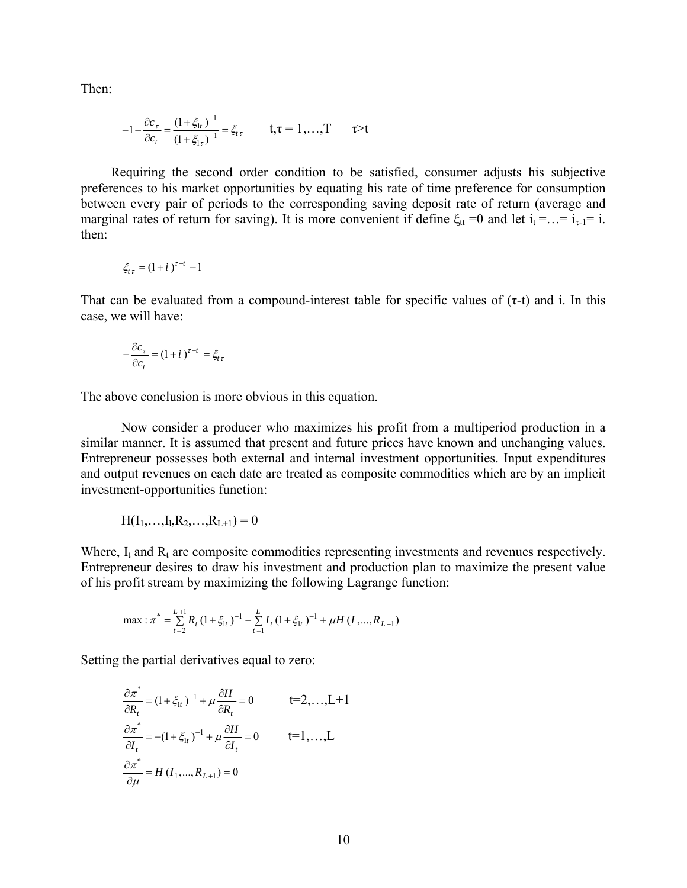Then:

$$
-1 - \frac{\partial c_{\tau}}{\partial c_{t}} = \frac{(1 + \xi_{1t})^{-1}}{(1 + \xi_{1\tau})^{-1}} = \xi_{t\tau} \qquad t, \tau = 1, ..., T \qquad \tau > t
$$

Requiring the second order condition to be satisfied, consumer adjusts his subjective preferences to his market opportunities by equating his rate of time preference for consumption between every pair of periods to the corresponding saving deposit rate of return (average and marginal rates of return for saving). It is more convenient if define  $\xi_{tt} = 0$  and let  $i_t = ... = i_{\tau-1} = i$ . then:

$$
\xi_{t\tau}=(1+i)^{\tau-t}-1
$$

That can be evaluated from a compound-interest table for specific values of  $(\tau-t)$  and i. In this case, we will have:

$$
-\frac{\partial c_{\tau}}{\partial c_{t}} = (1+i)^{\tau-t} = \xi_{t\tau}
$$

The above conclusion is more obvious in this equation.

 Now consider a producer who maximizes his profit from a multiperiod production in a similar manner. It is assumed that present and future prices have known and unchanging values. Entrepreneur possesses both external and internal investment opportunities. Input expenditures and output revenues on each date are treated as composite commodities which are by an implicit investment-opportunities function:

$$
H(I_1,...,I_l,R_2,...,R_{L+1})=0
$$

Where,  $I_t$  and  $R_t$  are composite commodities representing investments and revenues respectively. Entrepreneur desires to draw his investment and production plan to maximize the present value of his profit stream by maximizing the following Lagrange function:

$$
\max: \pi^* = \sum_{t=2}^{L+1} R_t (1 + \xi_{1t})^{-1} - \sum_{t=1}^{L} I_t (1 + \xi_{1t})^{-1} + \mu H (I, ..., R_{L+1})
$$

Setting the partial derivatives equal to zero:

$$
\frac{\partial \pi^*}{\partial R_t} = (1 + \xi_{1t})^{-1} + \mu \frac{\partial H}{\partial R_t} = 0 \qquad t = 2, \dots, L+1
$$
  

$$
\frac{\partial \pi^*}{\partial I_t} = -(1 + \xi_{1t})^{-1} + \mu \frac{\partial H}{\partial I_t} = 0 \qquad t = 1, \dots, L
$$
  

$$
\frac{\partial \pi^*}{\partial \mu} = H(I_1, \dots, R_{L+1}) = 0
$$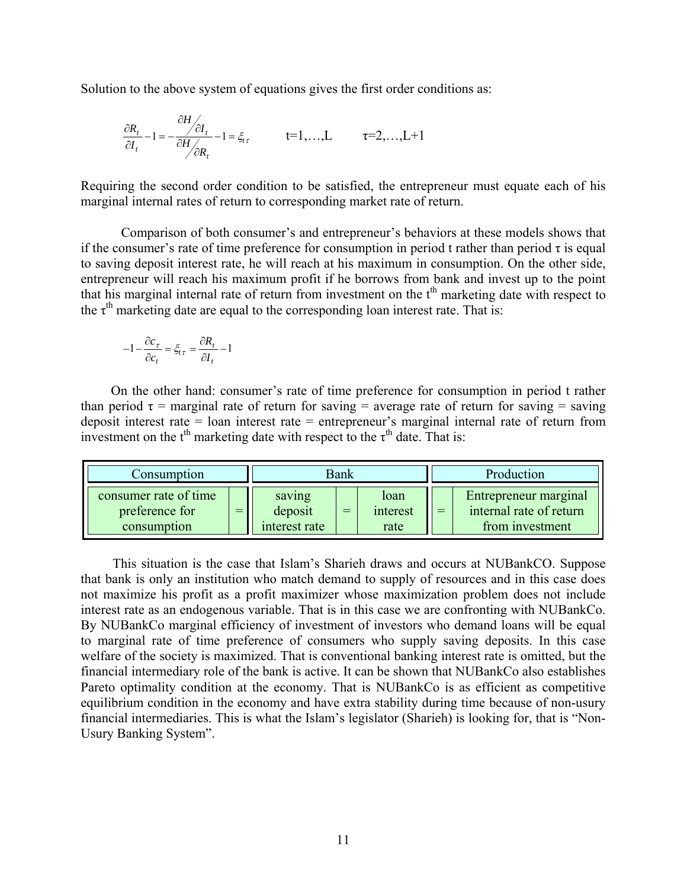Solution to the above system of equations gives the first order conditions as:

$$
\frac{\partial R_t}{\partial I_t} - 1 = -\frac{\partial H}{\partial H_{\partial R_t}} - 1 = \xi_{tt} \qquad \qquad t = 1, \dots, L \qquad \tau = 2, \dots, L + 1
$$

Requiring the second order condition to be satisfied, the entrepreneur must equate each of his marginal internal rates of return to corresponding market rate of return.

Comparison of both consumer's and entrepreneur's behaviors at these models shows that if the consumer's rate of time preference for consumption in period t rather than period  $\tau$  is equal to saving deposit interest rate, he will reach at his maximum in consumption. On the other side, entrepreneur will reach his maximum profit if he borrows from bank and invest up to the point that his marginal internal rate of return from investment on the t<sup>th</sup> marketing date with respect to the  $\tau^{\text{th}}$  marketing date are equal to the corresponding loan interest rate. That is:

$$
-1 - \frac{\partial c_{\tau}}{\partial c_t} = \xi_{t\tau} = \frac{\partial R_t}{\partial I_t} - 1
$$

On the other hand: consumer's rate of time preference for consumption in period t rather than period  $\tau$  = marginal rate of return for saving = average rate of return for saving = saving deposit interest rate = loan interest rate = entrepreneur's marginal internal rate of return from investment on the  $t<sup>th</sup>$  marketing date with respect to the  $\tau<sup>th</sup>$  date. That is:

| Consumption                                            |     | Bank                               |     |                          | Production |                                                                     |
|--------------------------------------------------------|-----|------------------------------------|-----|--------------------------|------------|---------------------------------------------------------------------|
| consumer rate of time<br>preference for<br>consumption | $=$ | saving<br>deposit<br>interest rate | $=$ | loan<br>interest<br>rate | $=$        | Entrepreneur marginal<br>internal rate of return<br>from investment |

This situation is the case that Islam's Sharieh draws and occurs at NUBankCO. Suppose that bank is only an institution who match demand to supply of resources and in this case does not maximize his profit as a profit maximizer whose maximization problem does not include interest rate as an endogenous variable. That is in this case we are confronting with NUBankCo. By NUBankCo marginal efficiency of investment of investors who demand loans will be equal to marginal rate of time preference of consumers who supply saving deposits. In this case welfare of the society is maximized. That is conventional banking interest rate is omitted, but the financial intermediary role of the bank is active. It can be shown that NUBankCo also establishes Pareto optimality condition at the economy. That is NUBankCo is as efficient as competitive equilibrium condition in the economy and have extra stability during time because of non-usury financial intermediaries. This is what the Islam's legislator (Sharieh) is looking for, that is "Non-Usury Banking System".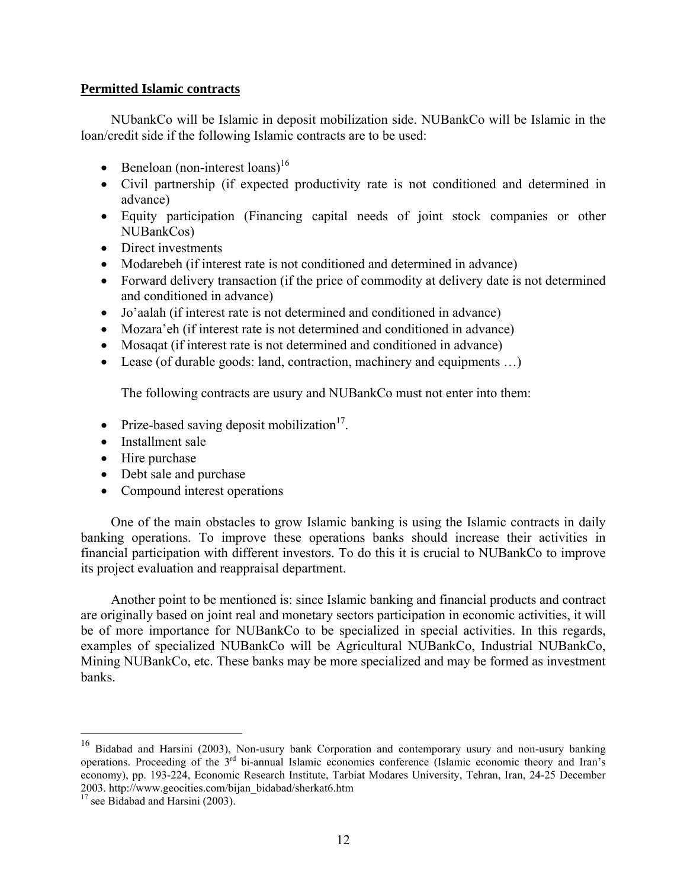## **Permitted Islamic contracts**

NUbankCo will be Islamic in deposit mobilization side. NUBankCo will be Islamic in the loan/credit side if the following Islamic contracts are to be used:

- $\bullet$  Beneloan (non-interest loans)<sup>16</sup>
- Civil partnership (if expected productivity rate is not conditioned and determined in advance)
- Equity participation (Financing capital needs of joint stock companies or other NUBankCos)
- Direct investments
- Modarebeh (if interest rate is not conditioned and determined in advance)
- Forward delivery transaction (if the price of commodity at delivery date is not determined and conditioned in advance)
- Jo'aalah (if interest rate is not determined and conditioned in advance)
- Mozara'eh (if interest rate is not determined and conditioned in advance)
- Mosaqat (if interest rate is not determined and conditioned in advance)
- Lease (of durable goods: land, contraction, machinery and equipments …)

The following contracts are usury and NUBankCo must not enter into them:

- Prize-based saving deposit mobilization $17$ .
- Installment sale
- Hire purchase
- Debt sale and purchase
- Compound interest operations

One of the main obstacles to grow Islamic banking is using the Islamic contracts in daily banking operations. To improve these operations banks should increase their activities in financial participation with different investors. To do this it is crucial to NUBankCo to improve its project evaluation and reappraisal department.

Another point to be mentioned is: since Islamic banking and financial products and contract are originally based on joint real and monetary sectors participation in economic activities, it will be of more importance for NUBankCo to be specialized in special activities. In this regards, examples of specialized NUBankCo will be Agricultural NUBankCo, Industrial NUBankCo, Mining NUBankCo, etc. These banks may be more specialized and may be formed as investment banks.

1

<sup>&</sup>lt;sup>16</sup> Bidabad and Harsini (2003), Non-usury bank Corporation and contemporary usury and non-usury banking operations. Proceeding of the 3rd bi-annual Islamic economics conference (Islamic economic theory and Iran's economy), pp. 193-224, Economic Research Institute, Tarbiat Modares University, Tehran, Iran, 24-25 December 2003. http://www.geocities.com/bijan\_bidabad/sherkat6.htm 17 see Bidabad and Harsini (2003).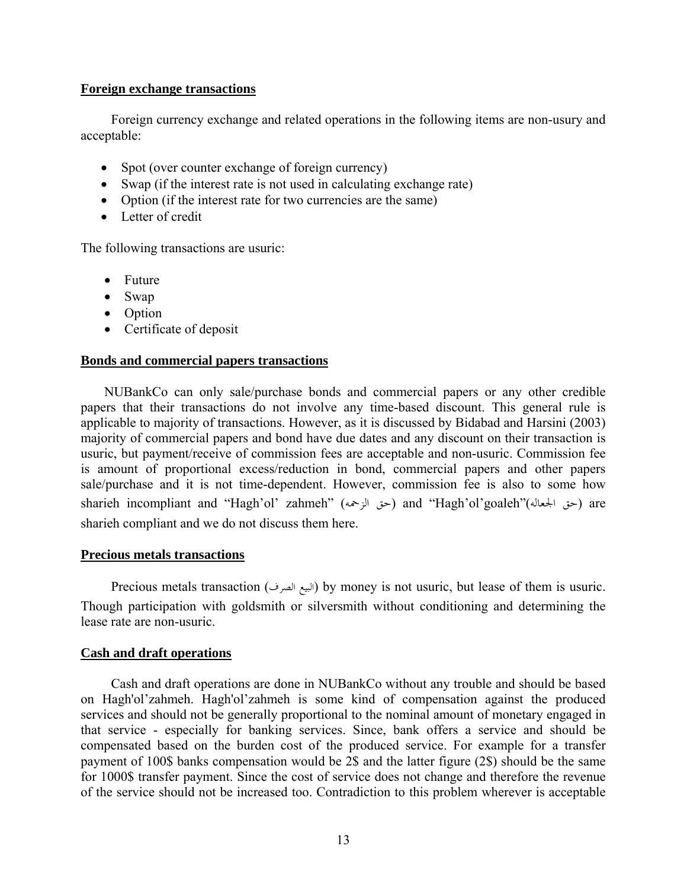## **Foreign exchange transactions**

Foreign currency exchange and related operations in the following items are non-usury and acceptable:

- Spot (over counter exchange of foreign currency)
- Swap (if the interest rate is not used in calculating exchange rate)
- Option (if the interest rate for two currencies are the same)
- Letter of credit

The following transactions are usuric:

- Future
- Swap
- Option
- Certificate of deposit

## **Bonds and commercial papers transactions**

 NUBankCo can only sale/purchase bonds and commercial papers or any other credible papers that their transactions do not involve any time-based discount. This general rule is applicable to majority of transactions. However, as it is discussed by Bidabad and Harsini (2003) majority of commercial papers and bond have due dates and any discount on their transaction is usuric, but payment/receive of commission fees are acceptable and non-usuric. Commission fee is amount of proportional excess/reduction in bond, commercial papers and other papers sale/purchase and it is not time-dependent. However, commission fee is also to some how sharieh incompliant and "Hagh'ol' zahmeh" (حق الزحمه) and "Hagh'ol'goaleh"(حق الجعاله) are sharieh compliant and we do not discuss them here.

## **Precious metals transactions**

Precious metals transaction (الصرف البيع (by money is not usuric, but lease of them is usuric. Though participation with goldsmith or silversmith without conditioning and determining the lease rate are non-usuric.

## **Cash and draft operations**

Cash and draft operations are done in NUBankCo without any trouble and should be based on Hagh'ol'zahmeh. Hagh'ol'zahmeh is some kind of compensation against the produced services and should not be generally proportional to the nominal amount of monetary engaged in that service - especially for banking services. Since, bank offers a service and should be compensated based on the burden cost of the produced service. For example for a transfer payment of 100\$ banks compensation would be 2\$ and the latter figure (2\$) should be the same for 1000\$ transfer payment. Since the cost of service does not change and therefore the revenue of the service should not be increased too. Contradiction to this problem wherever is acceptable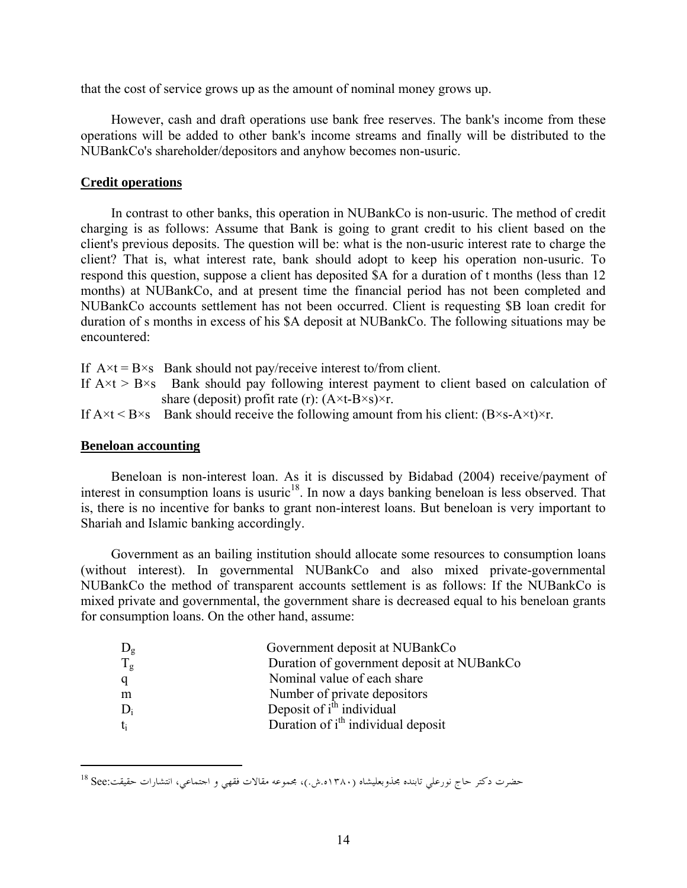that the cost of service grows up as the amount of nominal money grows up.

However, cash and draft operations use bank free reserves. The bank's income from these operations will be added to other bank's income streams and finally will be distributed to the NUBankCo's shareholder/depositors and anyhow becomes non-usuric.

## **Credit operations**

In contrast to other banks, this operation in NUBankCo is non-usuric. The method of credit charging is as follows: Assume that Bank is going to grant credit to his client based on the client's previous deposits. The question will be: what is the non-usuric interest rate to charge the client? That is, what interest rate, bank should adopt to keep his operation non-usuric. To respond this question, suppose a client has deposited \$A for a duration of t months (less than 12 months) at NUBankCo, and at present time the financial period has not been completed and NUBankCo accounts settlement has not been occurred. Client is requesting \$B loan credit for duration of s months in excess of his \$A deposit at NUBankCo. The following situations may be encountered:

If  $A \times t = B \times s$  Bank should not pay/receive interest to/from client. If  $A \times t > B \times s$  Bank should pay following interest payment to client based on calculation of share (deposit) profit rate (r):  $(A \times t - B \times s) \times r$ .

If  $A \times t \leq B \times s$  Bank should receive the following amount from his client:  $(B \times s - A \times t) \times r$ .

### **Beneloan accounting**

 $\overline{a}$ 

Beneloan is non-interest loan. As it is discussed by Bidabad (2004) receive/payment of interest in consumption loans is usuric<sup>18</sup>. In now a days banking beneloan is less observed. That is, there is no incentive for banks to grant non-interest loans. But beneloan is very important to Shariah and Islamic banking accordingly.

Government as an bailing institution should allocate some resources to consumption loans (without interest). In governmental NUBankCo and also mixed private-governmental NUBankCo the method of transparent accounts settlement is as follows: If the NUBankCo is mixed private and governmental, the government share is decreased equal to his beneloan grants for consumption loans. On the other hand, assume:

| $D_{g}$     | Government deposit at NUBankCo                 |
|-------------|------------------------------------------------|
| $T_{\rm g}$ | Duration of government deposit at NUBankCo     |
| q           | Nominal value of each share                    |
| m           | Number of private depositors                   |
| $D_i$       | Deposit of i <sup>th</sup> individual          |
| $t_i$       | Duration of i <sup>th</sup> individual deposit |

حضرت دكتر حاج نورعلي تابنده مجذوبعليشاه (١٣٨٠ه.ش.)، مجموعه مقالات فقهي و اجتماعي، انتشارات حقيقت:See 18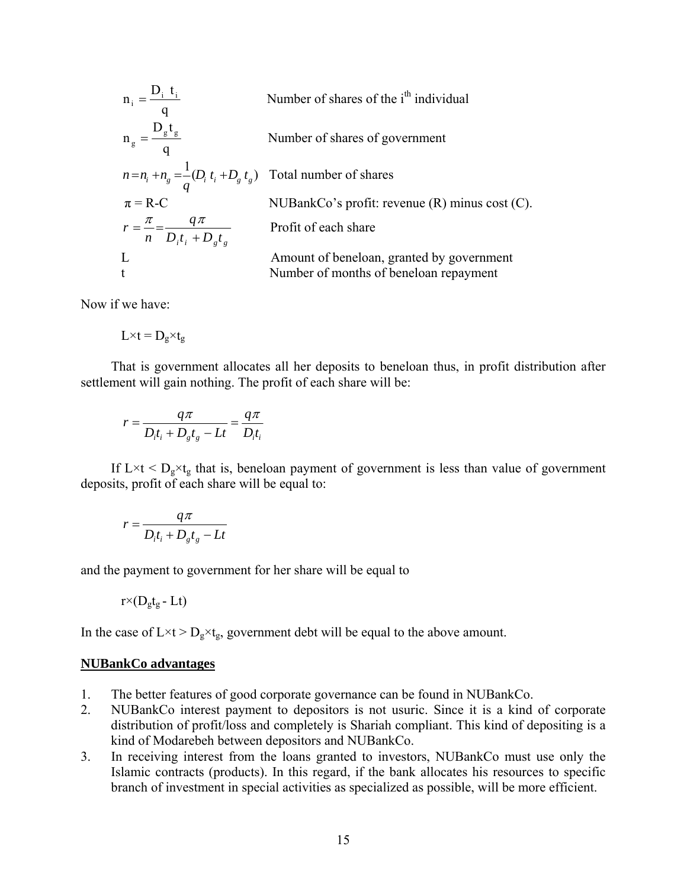$$
n_{i} = \frac{D_{i} t_{i}}{q}
$$
 Number of shares of the i<sup>th</sup> individual  
\n
$$
n_{g} = \frac{D_{g} t_{g}}{q}
$$
 Number of shares of government  
\n
$$
n = n_{i} + n_{g} = \frac{1}{q} (D_{i} t_{i} + D_{g} t_{g})
$$
 Total number of shares  
\n
$$
\pi = R-C
$$
 NUBankCo's profit: revenue (R) minus cost (C).  
\n
$$
r = \frac{\pi}{n} = \frac{q\pi}{D_{i} t_{i} + D_{g} t_{g}}
$$
 Profit of each share  
\nAmount of beneficial, granted by government  
\nNumber of months of beneficial repayment

Now if we have:

 $L\times t = D_g \times t_g$ 

That is government allocates all her deposits to beneloan thus, in profit distribution after settlement will gain nothing. The profit of each share will be:

$$
r = \frac{q\pi}{D_i t_i + D_s t_s - Lt} = \frac{q\pi}{D_i t_i}
$$

If  $L \times t < D_g \times t_g$  that is, beneloan payment of government is less than value of government deposits, profit of each share will be equal to:

$$
r = \frac{q\pi}{D_i t_i + D_g t_g - Lt}
$$

and the payment to government for her share will be equal to

$$
r^{\times}(D_{g}t_{g}\text{-}Lt)
$$

In the case of  $L \times t > D_g \times t_g$ , government debt will be equal to the above amount.

#### **NUBankCo advantages**

- 1. The better features of good corporate governance can be found in NUBankCo.
- 2. NUBankCo interest payment to depositors is not usuric. Since it is a kind of corporate distribution of profit/loss and completely is Shariah compliant. This kind of depositing is a kind of Modarebeh between depositors and NUBankCo.
- 3. In receiving interest from the loans granted to investors, NUBankCo must use only the Islamic contracts (products). In this regard, if the bank allocates his resources to specific branch of investment in special activities as specialized as possible, will be more efficient.